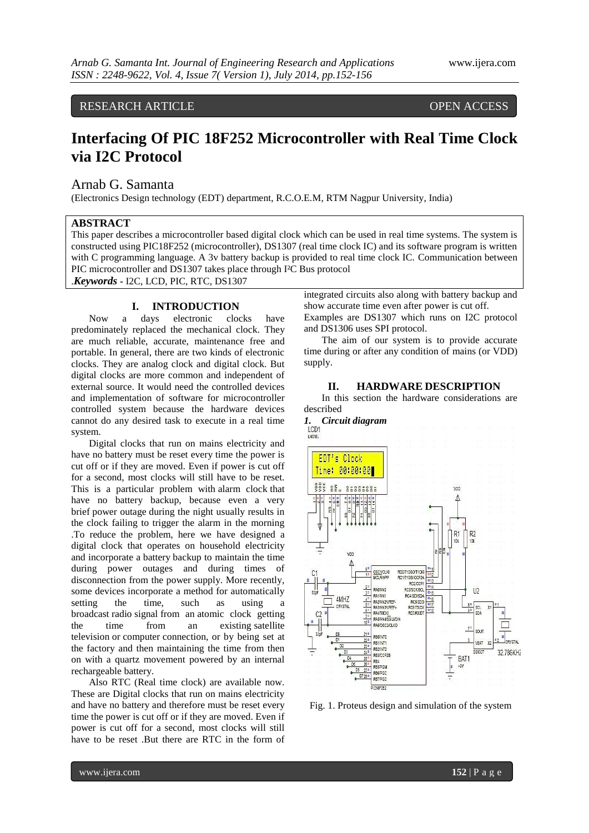RESEARCH ARTICLE OPEN ACCESS

# **Interfacing Of PIC 18F252 Microcontroller with Real Time Clock via I2C Protocol**

## Arnab G. Samanta

(Electronics Design technology (EDT) department, R.C.O.E.M, RTM Nagpur University, India)

## **ABSTRACT**

This paper describes a microcontroller based digital clock which can be used in real time systems. The system is constructed using PIC18F252 (microcontroller), DS1307 (real time clock IC) and its software program is written with C programming language. A 3v battery backup is provided to real time clock IC. Communication between PIC microcontroller and DS1307 takes place through I²C Bus protocol

.*Keywords* **-** I2C, LCD, PIC, RTC, DS1307

## **I. INTRODUCTION**

Now a days electronic clocks have predominately replaced the mechanical clock. They are much reliable, accurate, maintenance free and portable. In general, there are two kinds of electronic clocks. They are analog clock and digital clock. But digital clocks are more common and independent of external source. It would need the controlled devices and implementation of software for microcontroller controlled system because the hardware devices cannot do any desired task to execute in a real time system.

Digital clocks that run on mains electricity and have no battery must be reset every time the power is cut off or if they are moved. Even if power is cut off for a second, most clocks will still have to be reset. This is a particular problem with alarm clock that have no battery backup, because even a very brief power outage during the night usually results in the clock failing to trigger the alarm in the morning .To reduce the problem, here we have designed a digital clock that operates on household electricity and incorporate a battery backup to maintain the time during power outages and during times of disconnection from the power supply. More recently, some devices incorporate a method for automatically setting the time, such as using a broadcast radio signal from an atomic clock getting the time from an existing satellite television or computer connection, or by being set at the factory and then maintaining the time from then on with a quartz movement powered by an internal rechargeable battery.

Also RTC (Real time clock) are available now. These are Digital clocks that run on mains electricity and have no battery and therefore must be reset every time the power is cut off or if they are moved. Even if power is cut off for a second, most clocks will still have to be reset .But there are RTC in the form of integrated circuits also along with battery backup and show accurate time even after power is cut off. Examples are DS1307 which runs on I2C protocol and DS1306 uses SPI protocol.

The aim of our system is to provide accurate time during or after any condition of mains (or VDD) supply.



**II. HARDWARE DESCRIPTION**

In this section the hardware considerations are

Fig. 1. Proteus design and simulation of the system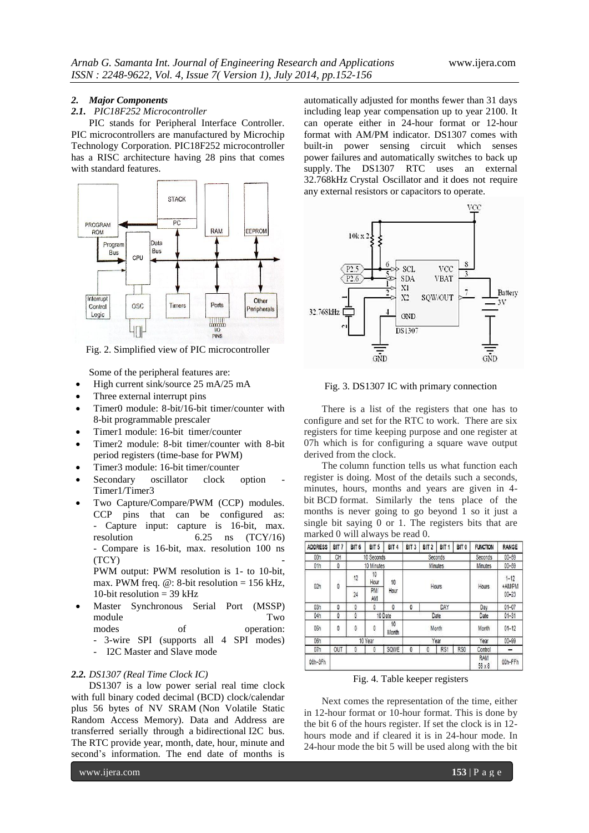#### *2. Major Components*

#### *2.1. PIC18F252 Microcontroller*

PIC stands for Peripheral Interface Controller. PIC microcontrollers are manufactured by Microchip Technology Corporation. PIC18F252 microcontroller has a RISC architecture having 28 pins that comes with standard features.



Fig. 2. Simplified view of PIC microcontroller

Some of the peripheral features are:

- High current sink/source 25 mA/25 mA
- Three external interrupt pins
- Timer0 module: 8-bit/16-bit timer/counter with 8-bit programmable prescaler
- Timer1 module: 16-bit timer/counter
- Timer2 module: 8-bit timer/counter with 8-bit period registers (time-base for PWM)
- Timer3 module: 16-bit timer/counter
- Secondary oscillator clock option Timer1/Timer3
- Two Capture/Compare/PWM (CCP) modules. CCP pins that can be configured as: Capture input: capture is 16-bit, max. resolution 6.25 ns (TCY/16) - Compare is 16-bit, max. resolution 100 ns  $(TCY)$ PWM output: PWM resolution is 1- to 10-bit, max. PWM freq.  $\omega$ : 8-bit resolution = 156 kHz, 10-bit resolution  $=$  39 kHz
- Master Synchronous Serial Port (MSSP) module Two modes of operation: - 3-wire SPI (supports all 4 SPI modes)
	- I2C Master and Slave mode

#### *2.2. DS1307 (Real Time Clock IC)*

DS1307 is a low power serial real time clock with full binary coded decimal (BCD) clock/calendar plus 56 bytes of NV SRAM (Non Volatile Static Random Access Memory). Data and Address are transferred serially through a bidirectional I2C bus. The RTC provide year, month, date, hour, minute and second's information. The end date of months is

www.ijera.com **153** | P a g e

automatically adjusted for months fewer than 31 days including leap year compensation up to year 2100. It can operate either in 24-hour format or 12-hour format with AM/PM indicator. DS1307 comes with built-in power sensing circuit which senses power failures and automatically switches to back up supply. The DS1307 RTC uses an external 32.768kHz Crystal Oscillator and it does not require any external resistors or capacitors to operate.



Fig. 3. DS1307 IC with primary connection

There is a list of the registers that one has to configure and set for the RTC to work. There are six registers for time keeping purpose and one register at 07h which is for configuring a square wave output derived from the clock.

The column function tells us what function each register is doing. Most of the details such a seconds, minutes, hours, months and years are given in 4 bit [BCD](http://en.wikipedia.org/wiki/Binary-coded_decimal) format. Similarly the tens place of the months is never going to go beyond 1 so it just a single bit saying 0 or 1. The registers bits that are marked 0 will always be read 0.

| <b>ADDRESS</b> | BIT 7   | BIT <sub>6</sub> | BIT <sub>5</sub> | BIT <sub>4</sub> | BIT <sub>3</sub> | BIT <sub>2</sub> | BIT <sub>1</sub> | BIT <sub>0</sub> | <b>FUNCTION</b>      | <b>RANGE</b>                    |
|----------------|---------|------------------|------------------|------------------|------------------|------------------|------------------|------------------|----------------------|---------------------------------|
| 00h            | CH      | 10 Seconds       |                  |                  | Seconds          |                  |                  |                  | Seconds              | $00 - 59$                       |
| 01h            | 0       | 10 Minutes       |                  |                  | Minutes          |                  |                  |                  | Minutes              | $00 - 59$                       |
| 02h            | o       | 12               | 10<br>Hour       | 10<br>Hour       |                  |                  |                  |                  | Hours                | $1 - 12$<br>+AM/PM<br>$00 - 23$ |
|                |         | 24               | <b>PM</b><br>AM  |                  | Hours            |                  |                  |                  |                      |                                 |
| 03h            | 0       | 0                | 0                | 0                | 0                | DAY              |                  |                  | Day                  | $01 - 07$                       |
| 04h            | 0       | Ô<br>10 Date     |                  |                  | Date             |                  |                  |                  | Date                 | $01 - 31$                       |
| 05h            | 0       | 0                | 0                | 10<br>Month      | Month            |                  |                  |                  | Month                | $01 - 12$                       |
| 06h            | 10 Year |                  |                  |                  | Year             |                  |                  | Year             | $00 - 99$            |                                 |
| 07h            | OUT     | 0                | 0                | SQWE             | 0                | 0                | RS <sub>1</sub>  | RS0              | Control              |                                 |
| 08h-3Fh        |         |                  |                  |                  |                  |                  |                  |                  | <b>RAM</b><br>56 x 8 | 00h-FFh                         |

Fig. 4. Table keeper registers

Next comes the representation of the time, either in 12-hour format or 10-hour format. This is done by the bit 6 of the hours register. If set the clock is in 12 hours mode and if cleared it is in 24-hour mode. In 24-hour mode the bit 5 will be used along with the bit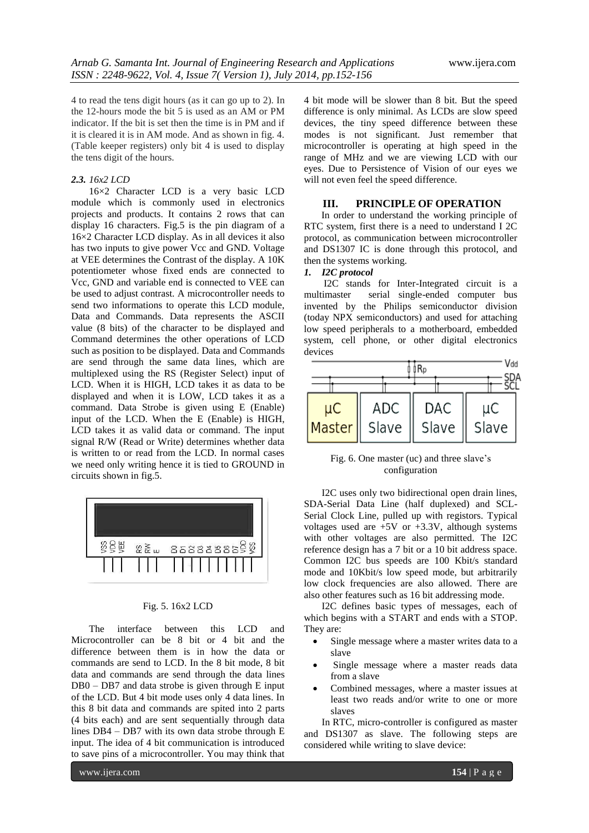4 to read the tens digit hours (as it can go up to 2). In the 12-hours mode the bit 5 is used as an AM or PM indicator. If the bit is set then the time is in PM and if it is cleared it is in AM mode. And as shown in fig. 4. (Table keeper registers) only bit 4 is used to display the tens digit of the hours.

#### *2.3. 16x2 LCD*

16×2 Character LCD is a very basic LCD module which is commonly used in electronics projects and products. It contains 2 rows that can display 16 characters. Fig.5 is the pin diagram of a 16×2 Character LCD display. As in all devices it also has two inputs to give power Vcc and GND. Voltage at VEE determines the Contrast of the display. A 10K potentiometer whose fixed ends are connected to Vcc, GND and variable end is connected to VEE can be used to adjust contrast. A microcontroller needs to send two informations to operate this LCD module, Data and Commands. Data represents the ASCII value (8 bits) of the character to be displayed and Command determines the other operations of LCD such as position to be displayed. Data and Commands are send through the same data lines, which are multiplexed using the RS (Register Select) input of LCD. When it is HIGH, LCD takes it as data to be displayed and when it is LOW, LCD takes it as a command. Data Strobe is given using E (Enable) input of the LCD. When the E (Enable) is HIGH, LCD takes it as valid data or command. The input signal R/W (Read or Write) determines whether data is written to or read from the LCD. In normal cases we need only writing hence it is tied to GROUND in circuits shown in fig.5.



#### Fig. 5. 16x2 LCD

The interface between this LCD and Microcontroller can be 8 bit or 4 bit and the difference between them is in how the data or commands are send to LCD. In the 8 bit mode, 8 bit data and commands are send through the data lines DB0 – DB7 and data strobe is given through E input of the LCD. But 4 bit mode uses only 4 data lines. In this 8 bit data and commands are spited into 2 parts (4 bits each) and are sent sequentially through data lines DB4 – DB7 with its own data strobe through E input. The idea of 4 bit communication is introduced to save pins of a microcontroller. You may think that

4 bit mode will be slower than 8 bit. But the speed difference is only minimal. As LCDs are slow speed devices, the tiny speed difference between these modes is not significant. Just remember that microcontroller is operating at high speed in the range of MHz and we are viewing LCD with our eyes. Due to Persistence of Vision of our eyes we will not even feel the speed difference.

## **III. PRINCIPLE OF OPERATION**

 In order to understand the working principle of RTC system, first there is a need to understand I 2C protocol, as communication between microcontroller and DS1307 IC is done through this protocol, and then the systems working.

## *1. I2C protocol*

 I2C stands for Inter-Integrated circuit is a multimaster serial single-ended computer bus invented by the Philips semiconductor division (today NPX semiconductors) and used for attaching low speed peripherals to a motherboard, embedded system, cell phone, or other digital electronics devices



Fig. 6. One master (uc) and three slave's configuration

I2C uses only two bidirectional open drain lines, SDA-Serial Data Line (half duplexed) and SCL-Serial Clock Line, pulled up with registors. Typical voltages used are  $+5V$  or  $+3.3V$ , although systems with other voltages are also permitted. The I2C reference design has a 7 bit or a 10 bit address space. Common I2C bus speeds are 100 Kbit/s standard mode and 10Kbit/s low speed mode, but arbitrarily low clock frequencies are also allowed. There are also other features such as 16 bit addressing mode.

I2C defines basic types of messages, each of which begins with a START and ends with a STOP. They are:

- Single message where a master writes data to a slave
- Single message where a master reads data from a slave
- Combined messages, where a master issues at least two reads and/or write to one or more slaves

In RTC, micro-controller is configured as master and DS1307 as slave. The following steps are considered while writing to slave device: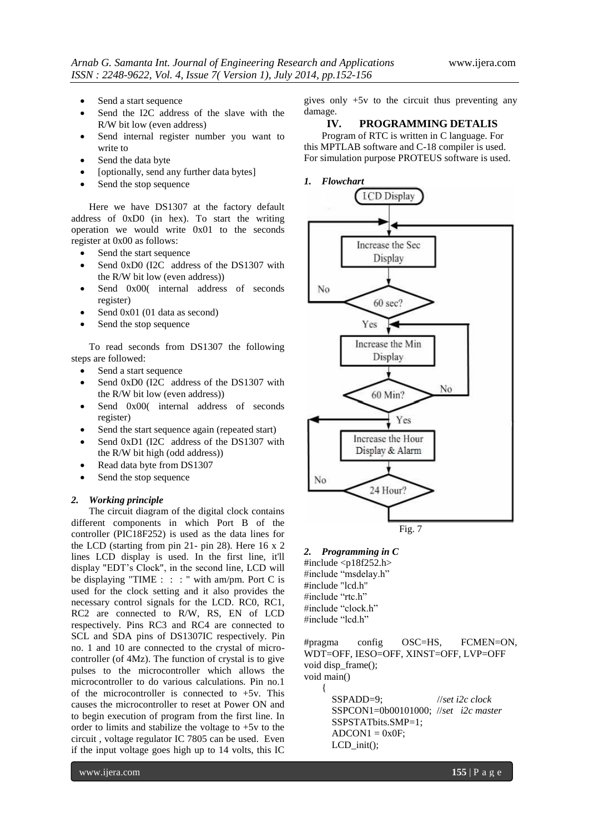- Send a start sequence
- Send the I2C address of the slave with the R/W bit low (even address)
- Send internal register number you want to write to
- Send the data byte
- [optionally, send any further data bytes]
- Send the stop sequence

Here we have DS1307 at the factory default address of 0xD0 (in hex). To start the writing operation we would write 0x01 to the seconds register at 0x00 as follows:

- Send the start sequence
- Send 0xD0 (I2C address of the DS1307 with the R/W bit low (even address))
- Send  $0x00$  internal address of seconds register)
- Send 0x01 (01 data as second)
- Send the stop sequence

To read seconds from DS1307 the following steps are followed:

- Send a start sequence
- Send 0xD0 (I2C address of the DS1307 with the R/W bit low (even address))
- Send 0x00( internal address of seconds register)
- Send the start sequence again (repeated start)
- Send 0xD1 (I2C address of the DS1307 with the R/W bit high (odd address))
- Read data byte from DS1307
- Send the stop sequence

#### *2. Working principle*

The circuit diagram of the digital clock contains different components in which Port B of the controller (PIC18F252) is used as the data lines for the LCD (starting from pin 21- pin 28). Here 16 x 2 lines LCD display is used. In the first line, it'll display "EDT's Clock", in the second line, LCD will be displaying "TIME : : : " with am/pm. Port C is used for the clock setting and it also provides the necessary control signals for the LCD. RC0, RC1, RC2 are connected to R/W, RS, EN of LCD respectively. Pins RC3 and RC4 are connected to SCL and SDA pins of DS1307IC respectively. Pin no. 1 and 10 are connected to the crystal of microcontroller (of 4Mz). The function of crystal is to give pulses to the microcontroller which allows the microcontroller to do various calculations. Pin no.1 of the microcontroller is connected to +5v. This causes the microcontroller to reset at Power ON and to begin execution of program from the first line. In order to limits and stabilize the voltage to +5v to the circuit , voltage regulator IC 7805 can be used. Even if the input voltage goes high up to 14 volts, this IC

gives only +5v to the circuit thus preventing any damage.

# **IV. PROGRAMMING DETALIS**

Program of RTC is written in C language. For this MPTLAB software and C-18 compiler is used. For simulation purpose PROTEUS software is used.

*1. Flowchart*



*2. Programming in C* #include <p18f252.h> #include "msdelay.h" #include "lcd.h"

#include "rtc.h" #include "clock.h" #include "lcd.h"

{

#pragma config OSC=HS, FCMEN=ON, WDT=OFF, IESO=OFF, XINST=OFF, LVP=OFF void disp\_frame(); void main()

> SSPADD=9; //*set i2c clock* SSPCON1=0b00101000; //*set i2c master* SSPSTATbits.SMP=1;  $ADCON1 = 0x0F$ ; LCD\_init();